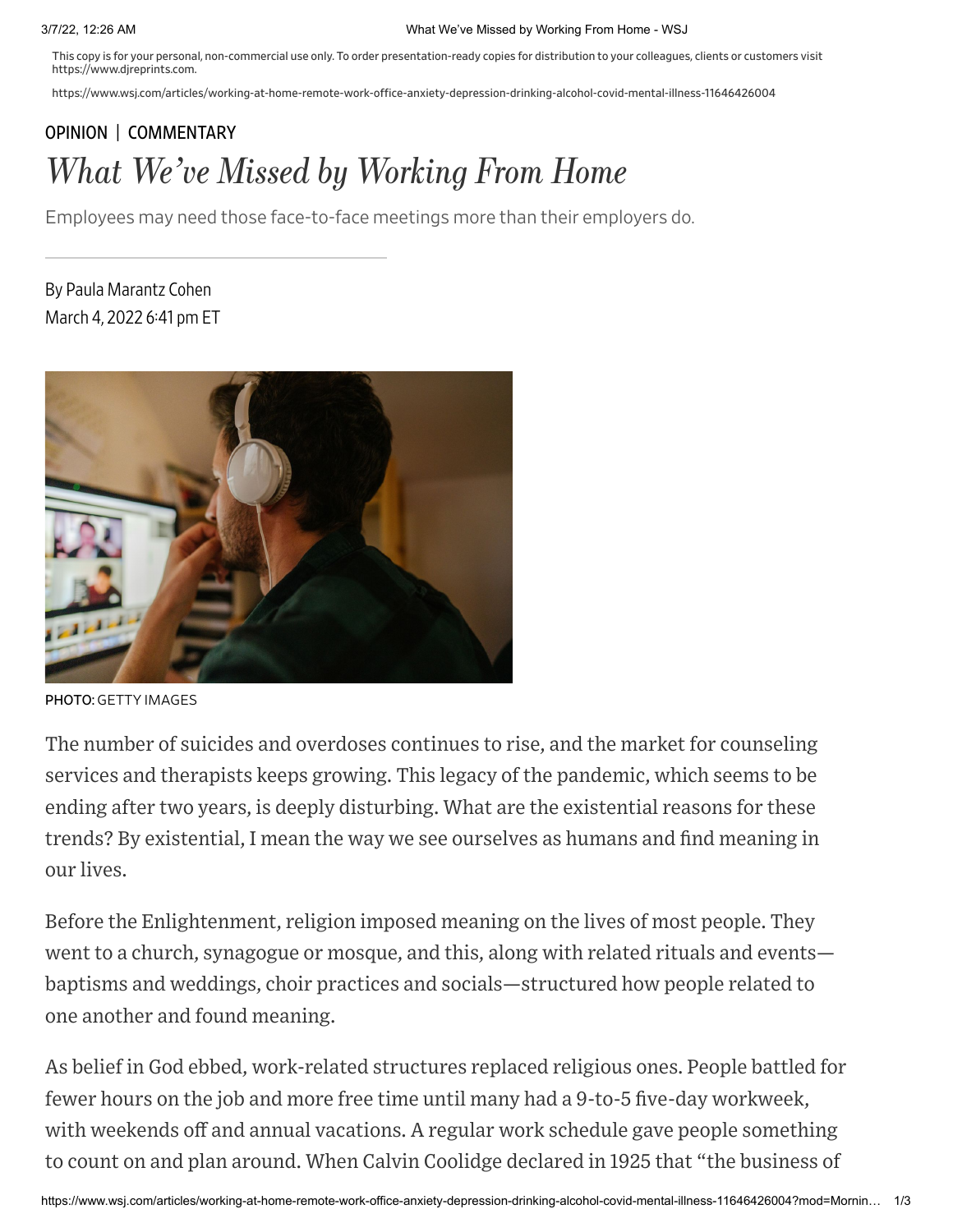This copy is for your personal, non-commercial use only. To order presentation-ready copies for distribution to your colleagues, clients or customers visit https://www.djreprints.com.

https://www.wsj.com/articles/working-at-home-remote-work-office-anxiety-depression-drinking-alcohol-covid-mental-illness-11646426004

## [OPINION](https://www.wsj.com/news/opinion?mod=breadcrumb) | [COMMENTARY](https://www.wsj.com/news/types/commentary-u-s?mod=breadcrumb) What We've Missed by Working From Home

Employees may need those face-to-face meetings more than their employers do.

By Paula Marantz Cohen March 4, 2022 6:41 pm ET



PHOTO: GETTY IMAGES

The number of suicides and overdoses continues to rise, and the market for counseling services and therapists keeps growing. This legacy of the pandemic, which seems to be ending after two years, is deeply disturbing. What are the existential reasons for these trends? By existential, I mean the way we see ourselves as humans and find meaning in our lives.

Before the Enlightenment, religion imposed meaning on the lives of most people. They went to a church, synagogue or mosque, and this, along with related rituals and events baptisms and weddings, choir practices and socials—structured how people related to one another and found meaning.

As belief in God ebbed, work-related structures replaced religious ones. People battled for fewer hours on the job and more free time until many had a 9-to-5 five-day workweek, with weekends off and annual vacations. A regular work schedule gave people something to count on and plan around. When Calvin Coolidge declared in 1925 that "the business of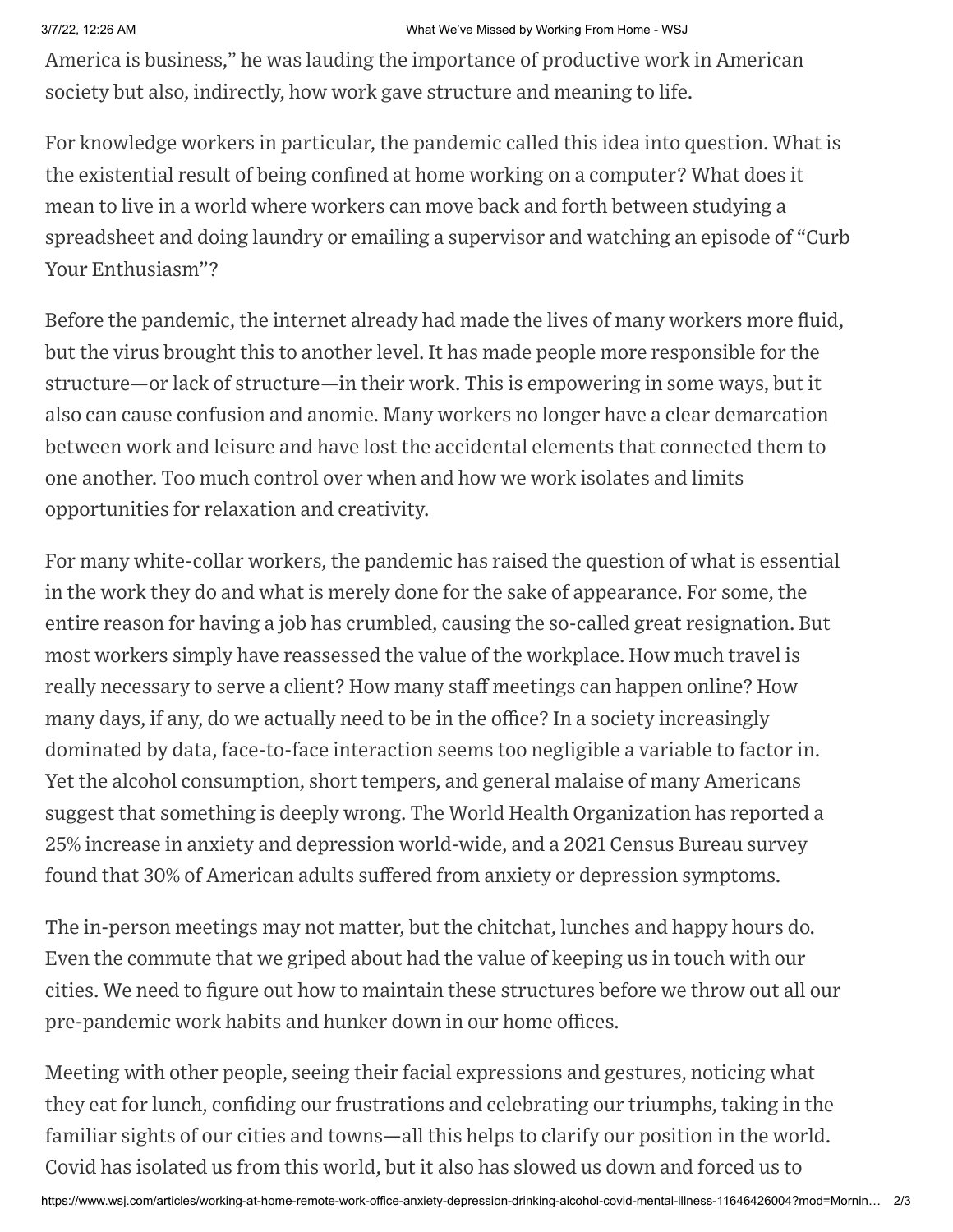## 3/7/22, 12:26 AM What We've Missed by Working From Home - WSJ

America is business," he was lauding the importance of productive work in American society but also, indirectly, how work gave structure and meaning to life.

For knowledge workers in particular, the pandemic called this idea into question. What is the existential result of being confined at home working on a computer? What does it mean to live in a world where workers can move back and forth between studying a spreadsheet and doing laundry or emailing a supervisor and watching an episode of "Curb Your Enthusiasm"?

Before the pandemic, the internet already had made the lives of many workers more fluid, but the virus brought this to another level. It has made people more responsible for the structure—or lack of structure—in their work. This is empowering in some ways, but it also can cause confusion and anomie. Many workers no longer have a clear demarcation between work and leisure and have lost the accidental elements that connected them to one another. Too much control over when and how we work isolates and limits opportunities for relaxation and creativity.

For many white-collar workers, the pandemic has raised the question of what is essential in the work they do and what is merely done for the sake of appearance. For some, the entire reason for having a job has crumbled, causing the so-called great resignation. But most workers simply have reassessed the value of the workplace. How much travel is really necessary to serve a client? How many staff meetings can happen online? How many days, if any, do we actually need to be in the office? In a society increasingly dominated by data, face-to-face interaction seems too negligible a variable to factor in. Yet the alcohol consumption, short tempers, and general malaise of many Americans suggest that something is deeply wrong. The World Health Organization has reported a 25% increase in anxiety and depression world-wide, and a 2021 Census Bureau survey found that 30% of American adults suffered from anxiety or depression symptoms.

The in-person meetings may not matter, but the chitchat, lunches and happy hours do. Even the commute that we griped about had the value of keeping us in touch with our cities. We need to figure out how to maintain these structures before we throw out all our pre-pandemic work habits and hunker down in our home offices.

Meeting with other people, seeing their facial expressions and gestures, noticing what they eat for lunch, confiding our frustrations and celebrating our triumphs, taking in the familiar sights of our cities and towns—all this helps to clarify our position in the world. Covid has isolated us from this world, but it also has slowed us down and forced us to